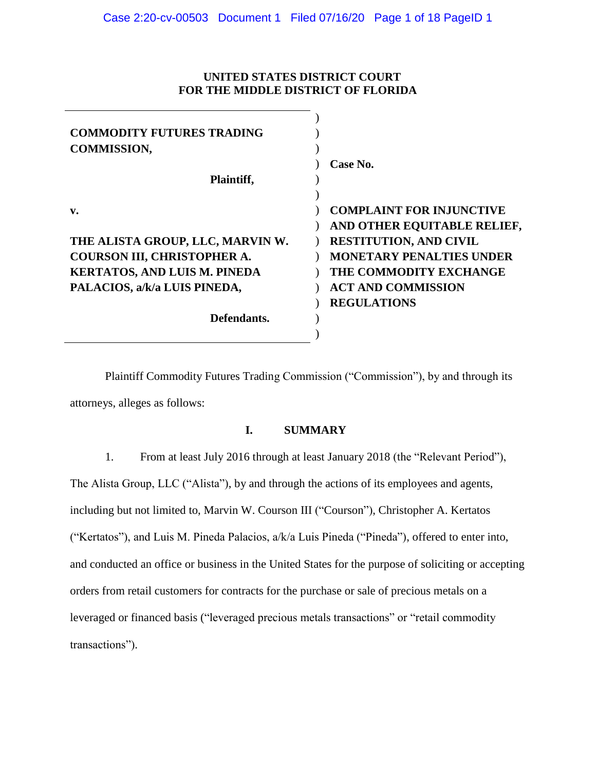## **UNITED STATES DISTRICT COURT FOR THE MIDDLE DISTRICT OF FLORIDA**

| <b>COMMODITY FUTURES TRADING</b><br><b>COMMISSION,</b> |                                 |
|--------------------------------------------------------|---------------------------------|
|                                                        | Case No.                        |
| Plaintiff,                                             |                                 |
|                                                        |                                 |
| v.                                                     | <b>COMPLAINT FOR INJUNCTIVE</b> |
|                                                        | AND OTHER EQUITABLE RELIEF,     |
| THE ALISTA GROUP, LLC, MARVIN W.                       | <b>RESTITUTION, AND CIVIL</b>   |
| COURSON III, CHRISTOPHER A.                            | <b>MONETARY PENALTIES UNDER</b> |
| <b>KERTATOS, AND LUIS M. PINEDA</b>                    | THE COMMODITY EXCHANGE          |
| PALACIOS, a/k/a LUIS PINEDA,                           | <b>ACT AND COMMISSION</b>       |
|                                                        | <b>REGULATIONS</b>              |
| Defendants.                                            |                                 |
|                                                        |                                 |

Plaintiff Commodity Futures Trading Commission ("Commission"), by and through its attorneys, alleges as follows:

# **I. SUMMARY**

1. From at least July 2016 through at least January 2018 (the "Relevant Period"), The Alista Group, LLC ("Alista"), by and through the actions of its employees and agents, including but not limited to, Marvin W. Courson III ("Courson"), Christopher A. Kertatos ("Kertatos"), and Luis M. Pineda Palacios, a/k/a Luis Pineda ("Pineda"), offered to enter into, and conducted an office or business in the United States for the purpose of soliciting or accepting orders from retail customers for contracts for the purchase or sale of precious metals on a leveraged or financed basis ("leveraged precious metals transactions" or "retail commodity transactions").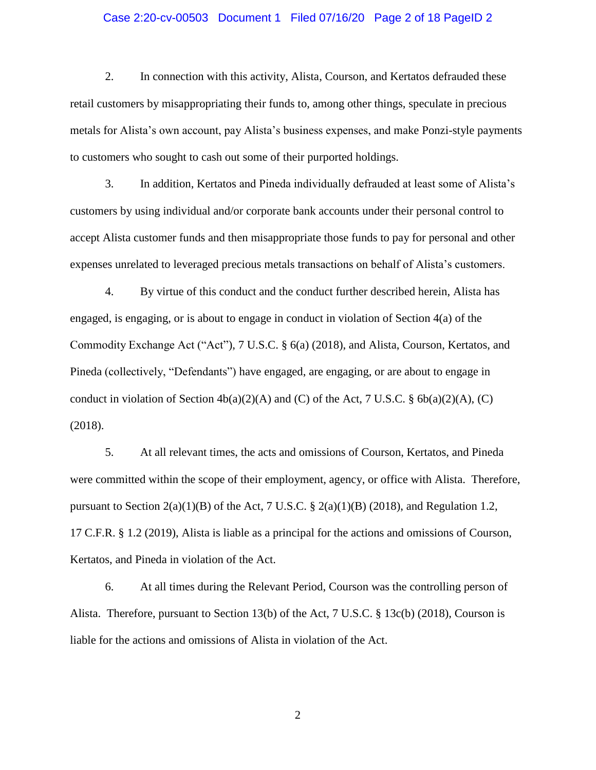### Case 2:20-cv-00503 Document 1 Filed 07/16/20 Page 2 of 18 PageID 2

2. In connection with this activity, Alista, Courson, and Kertatos defrauded these retail customers by misappropriating their funds to, among other things, speculate in precious metals for Alista's own account, pay Alista's business expenses, and make Ponzi-style payments to customers who sought to cash out some of their purported holdings.

3. In addition, Kertatos and Pineda individually defrauded at least some of Alista's customers by using individual and/or corporate bank accounts under their personal control to accept Alista customer funds and then misappropriate those funds to pay for personal and other expenses unrelated to leveraged precious metals transactions on behalf of Alista's customers.

4. By virtue of this conduct and the conduct further described herein, Alista has engaged, is engaging, or is about to engage in conduct in violation of Section 4(a) of the Commodity Exchange Act ("Act"), 7 U.S.C. § 6(a) (2018), and Alista, Courson, Kertatos, and Pineda (collectively, "Defendants") have engaged, are engaging, or are about to engage in conduct in violation of Section  $4b(a)(2)(A)$  and (C) of the Act, 7 U.S.C. §  $6b(a)(2)(A)$ , (C) (2018).

5. At all relevant times, the acts and omissions of Courson, Kertatos, and Pineda were committed within the scope of their employment, agency, or office with Alista. Therefore, pursuant to Section  $2(a)(1)(B)$  of the Act, 7 U.S.C. §  $2(a)(1)(B)$  (2018), and Regulation 1.2, 17 C.F.R. § 1.2 (2019), Alista is liable as a principal for the actions and omissions of Courson, Kertatos, and Pineda in violation of the Act.

6. At all times during the Relevant Period, Courson was the controlling person of Alista. Therefore, pursuant to Section 13(b) of the Act, 7 U.S.C. § 13c(b) (2018), Courson is liable for the actions and omissions of Alista in violation of the Act.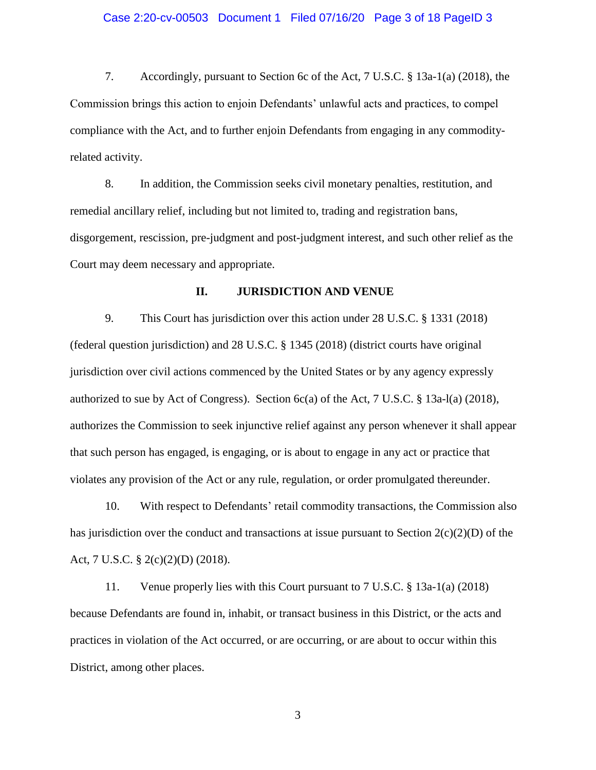### Case 2:20-cv-00503 Document 1 Filed 07/16/20 Page 3 of 18 PageID 3

7. Accordingly, pursuant to Section 6c of the Act, 7 U.S.C. § 13a-1(a) (2018), the Commission brings this action to enjoin Defendants' unlawful acts and practices, to compel compliance with the Act, and to further enjoin Defendants from engaging in any commodityrelated activity.

8. In addition, the Commission seeks civil monetary penalties, restitution, and remedial ancillary relief, including but not limited to, trading and registration bans, disgorgement, rescission, pre-judgment and post-judgment interest, and such other relief as the Court may deem necessary and appropriate.

### **II. JURISDICTION AND VENUE**

9. This Court has jurisdiction over this action under 28 U.S.C. § 1331 (2018) (federal question jurisdiction) and 28 U.S.C. § 1345 (2018) (district courts have original jurisdiction over civil actions commenced by the United States or by any agency expressly authorized to sue by Act of Congress). Section  $6c(a)$  of the Act, 7 U.S.C. § 13a-l(a) (2018), authorizes the Commission to seek injunctive relief against any person whenever it shall appear that such person has engaged, is engaging, or is about to engage in any act or practice that violates any provision of the Act or any rule, regulation, or order promulgated thereunder.

10. With respect to Defendants' retail commodity transactions, the Commission also has jurisdiction over the conduct and transactions at issue pursuant to Section  $2(c)(2)(D)$  of the Act, 7 U.S.C. § 2(c)(2)(D) (2018).

11. Venue properly lies with this Court pursuant to 7 U.S.C. § 13a-1(a) (2018) because Defendants are found in, inhabit, or transact business in this District, or the acts and practices in violation of the Act occurred, or are occurring, or are about to occur within this District, among other places.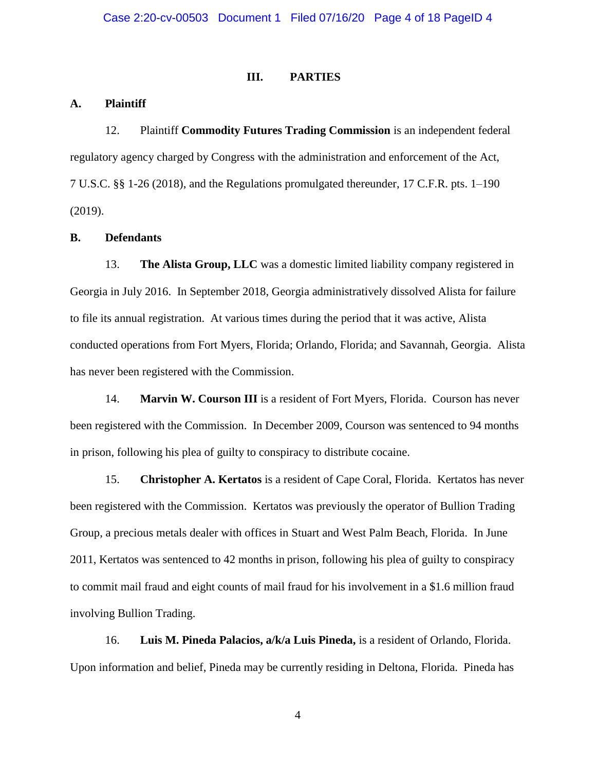### **III. PARTIES**

### **A. Plaintiff**

12. Plaintiff **Commodity Futures Trading Commission** is an independent federal regulatory agency charged by Congress with the administration and enforcement of the Act, 7 U.S.C. §§ 1-26 (2018), and the Regulations promulgated thereunder, 17 C.F.R. pts. 1–190 (2019).

### **B. Defendants**

13. **The Alista Group, LLC** was a domestic limited liability company registered in Georgia in July 2016. In September 2018, Georgia administratively dissolved Alista for failure to file its annual registration. At various times during the period that it was active, Alista conducted operations from Fort Myers, Florida; Orlando, Florida; and Savannah, Georgia. Alista has never been registered with the Commission.

14. **Marvin W. Courson III** is a resident of Fort Myers, Florida. Courson has never been registered with the Commission. In December 2009, Courson was sentenced to 94 months in prison, following his plea of guilty to conspiracy to distribute cocaine.

15. **Christopher A. Kertatos** is a resident of Cape Coral, Florida. Kertatos has never been registered with the Commission. Kertatos was previously the operator of Bullion Trading Group, a precious metals dealer with offices in Stuart and West Palm Beach, Florida. In June 2011, Kertatos was sentenced to 42 months in prison, following his plea of guilty to conspiracy to commit mail fraud and eight counts of mail fraud for his involvement in a \$1.6 million fraud involving Bullion Trading.

16. **Luis M. Pineda Palacios, a/k/a Luis Pineda,** is a resident of Orlando, Florida. Upon information and belief, Pineda may be currently residing in Deltona, Florida. Pineda has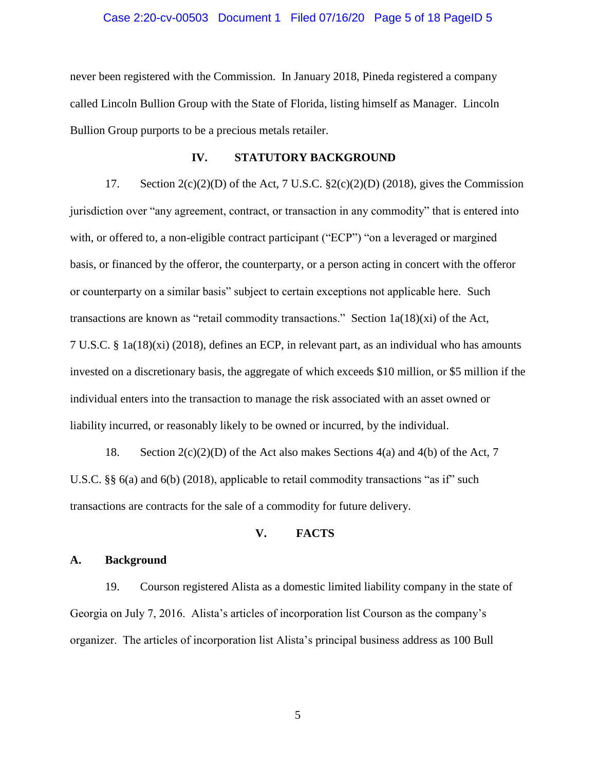### Case 2:20-cv-00503 Document 1 Filed 07/16/20 Page 5 of 18 PageID 5

never been registered with the Commission. In January 2018, Pineda registered a company called Lincoln Bullion Group with the State of Florida, listing himself as Manager. Lincoln Bullion Group purports to be a precious metals retailer.

### **IV. STATUTORY BACKGROUND**

17. Section  $2(c)(2)(D)$  of the Act, 7 U.S.C.  $\S2(c)(2)(D)$  (2018), gives the Commission jurisdiction over "any agreement, contract, or transaction in any commodity" that is entered into with, or offered to, a non-eligible contract participant ("ECP") "on a leveraged or margined basis, or financed by the offeror, the counterparty, or a person acting in concert with the offeror or counterparty on a similar basis" subject to certain exceptions not applicable here. Such transactions are known as "retail commodity transactions." Section  $1a(18)(xi)$  of the Act, 7 U.S.C. § 1a(18)(xi) (2018), defines an ECP, in relevant part, as an individual who has amounts invested on a discretionary basis, the aggregate of which exceeds \$10 million, or \$5 million if the individual enters into the transaction to manage the risk associated with an asset owned or liability incurred, or reasonably likely to be owned or incurred, by the individual.

18. Section  $2(c)(2)(D)$  of the Act also makes Sections  $4(a)$  and  $4(b)$  of the Act, 7 U.S.C. §§ 6(a) and 6(b) (2018), applicable to retail commodity transactions "as if" such transactions are contracts for the sale of a commodity for future delivery.

### **V. FACTS**

### **A. Background**

19. Courson registered Alista as a domestic limited liability company in the state of Georgia on July 7, 2016. Alista's articles of incorporation list Courson as the company's organizer. The articles of incorporation list Alista's principal business address as 100 Bull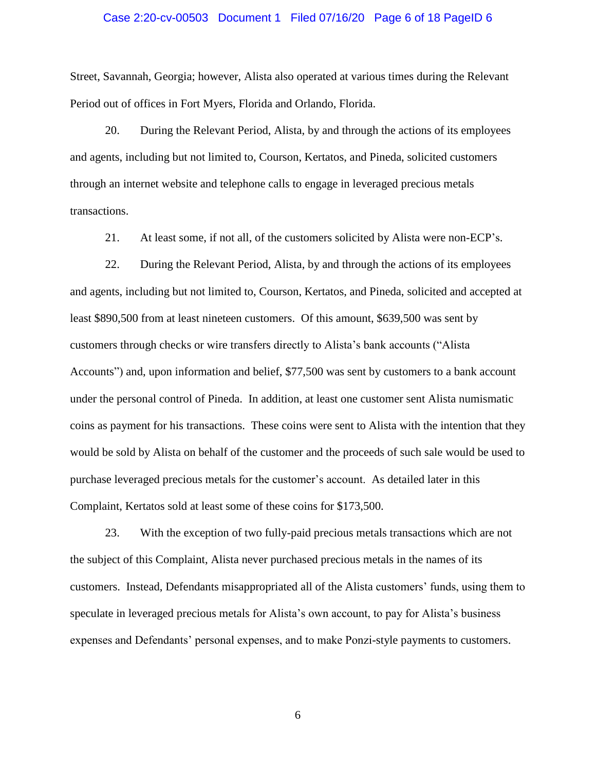### Case 2:20-cv-00503 Document 1 Filed 07/16/20 Page 6 of 18 PageID 6

Street, Savannah, Georgia; however, Alista also operated at various times during the Relevant Period out of offices in Fort Myers, Florida and Orlando, Florida.

20. During the Relevant Period, Alista, by and through the actions of its employees and agents, including but not limited to, Courson, Kertatos, and Pineda, solicited customers through an internet website and telephone calls to engage in leveraged precious metals transactions.

21. At least some, if not all, of the customers solicited by Alista were non-ECP's.

22. During the Relevant Period, Alista, by and through the actions of its employees and agents, including but not limited to, Courson, Kertatos, and Pineda, solicited and accepted at least \$890,500 from at least nineteen customers. Of this amount, \$639,500 was sent by customers through checks or wire transfers directly to Alista's bank accounts ("Alista Accounts") and, upon information and belief, \$77,500 was sent by customers to a bank account under the personal control of Pineda. In addition, at least one customer sent Alista numismatic coins as payment for his transactions. These coins were sent to Alista with the intention that they would be sold by Alista on behalf of the customer and the proceeds of such sale would be used to purchase leveraged precious metals for the customer's account. As detailed later in this Complaint, Kertatos sold at least some of these coins for \$173,500.

23. With the exception of two fully-paid precious metals transactions which are not the subject of this Complaint, Alista never purchased precious metals in the names of its customers. Instead, Defendants misappropriated all of the Alista customers' funds, using them to speculate in leveraged precious metals for Alista's own account, to pay for Alista's business expenses and Defendants' personal expenses, and to make Ponzi-style payments to customers.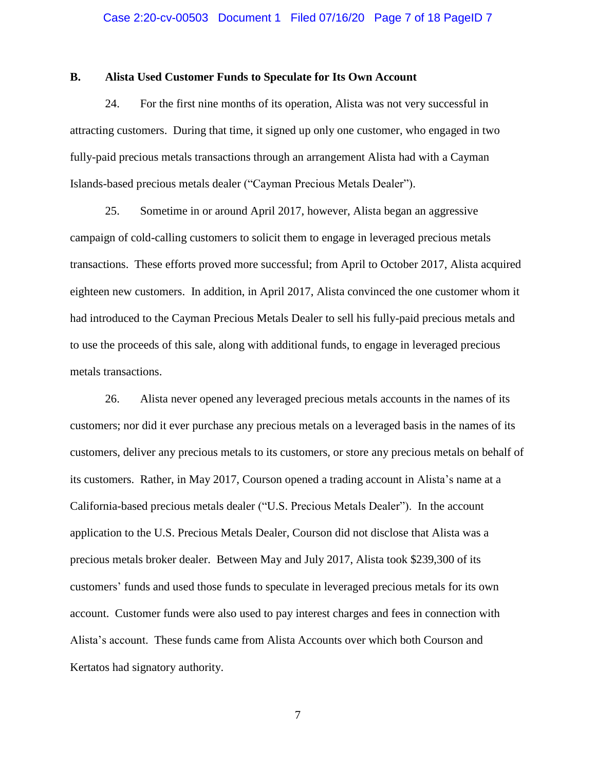### Case 2:20-cv-00503 Document 1 Filed 07/16/20 Page 7 of 18 PageID 7

### **B. Alista Used Customer Funds to Speculate for Its Own Account**

24. For the first nine months of its operation, Alista was not very successful in attracting customers. During that time, it signed up only one customer, who engaged in two fully-paid precious metals transactions through an arrangement Alista had with a Cayman Islands-based precious metals dealer ("Cayman Precious Metals Dealer").

25. Sometime in or around April 2017, however, Alista began an aggressive campaign of cold-calling customers to solicit them to engage in leveraged precious metals transactions. These efforts proved more successful; from April to October 2017, Alista acquired eighteen new customers. In addition, in April 2017, Alista convinced the one customer whom it had introduced to the Cayman Precious Metals Dealer to sell his fully-paid precious metals and to use the proceeds of this sale, along with additional funds, to engage in leveraged precious metals transactions.

26. Alista never opened any leveraged precious metals accounts in the names of its customers; nor did it ever purchase any precious metals on a leveraged basis in the names of its customers, deliver any precious metals to its customers, or store any precious metals on behalf of its customers. Rather, in May 2017, Courson opened a trading account in Alista's name at a California-based precious metals dealer ("U.S. Precious Metals Dealer"). In the account application to the U.S. Precious Metals Dealer, Courson did not disclose that Alista was a precious metals broker dealer. Between May and July 2017, Alista took \$239,300 of its customers' funds and used those funds to speculate in leveraged precious metals for its own account. Customer funds were also used to pay interest charges and fees in connection with Alista's account. These funds came from Alista Accounts over which both Courson and Kertatos had signatory authority.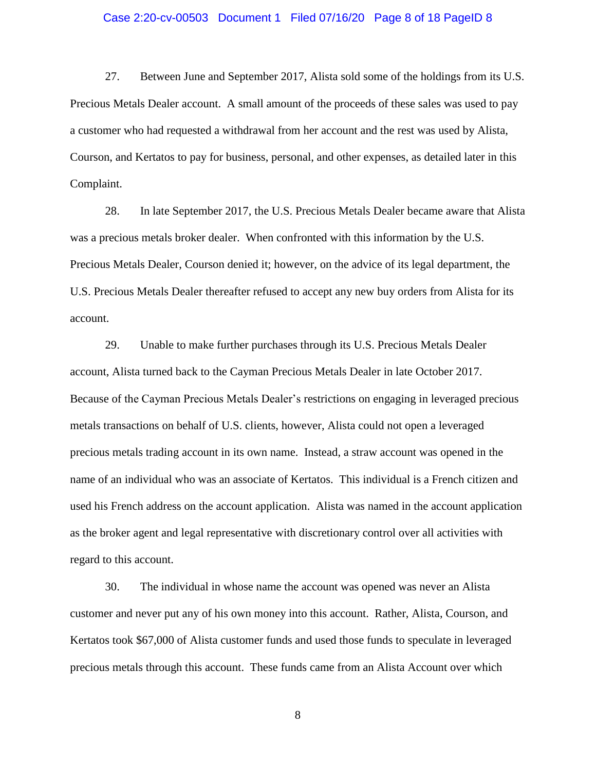### Case 2:20-cv-00503 Document 1 Filed 07/16/20 Page 8 of 18 PageID 8

27. Between June and September 2017, Alista sold some of the holdings from its U.S. Precious Metals Dealer account. A small amount of the proceeds of these sales was used to pay a customer who had requested a withdrawal from her account and the rest was used by Alista, Courson, and Kertatos to pay for business, personal, and other expenses, as detailed later in this Complaint.

28. In late September 2017, the U.S. Precious Metals Dealer became aware that Alista was a precious metals broker dealer. When confronted with this information by the U.S. Precious Metals Dealer, Courson denied it; however, on the advice of its legal department, the U.S. Precious Metals Dealer thereafter refused to accept any new buy orders from Alista for its account.

29. Unable to make further purchases through its U.S. Precious Metals Dealer account, Alista turned back to the Cayman Precious Metals Dealer in late October 2017. Because of the Cayman Precious Metals Dealer's restrictions on engaging in leveraged precious metals transactions on behalf of U.S. clients, however, Alista could not open a leveraged precious metals trading account in its own name. Instead, a straw account was opened in the name of an individual who was an associate of Kertatos. This individual is a French citizen and used his French address on the account application. Alista was named in the account application as the broker agent and legal representative with discretionary control over all activities with regard to this account.

30. The individual in whose name the account was opened was never an Alista customer and never put any of his own money into this account. Rather, Alista, Courson, and Kertatos took \$67,000 of Alista customer funds and used those funds to speculate in leveraged precious metals through this account. These funds came from an Alista Account over which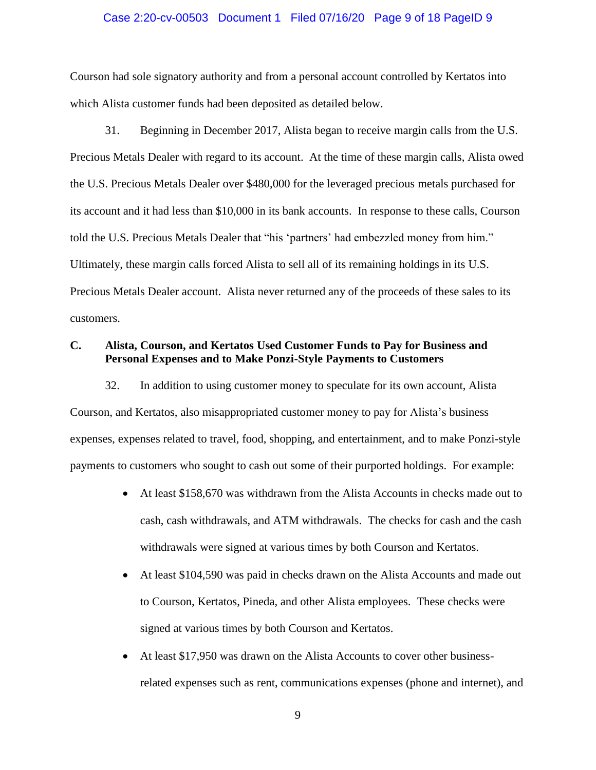### Case 2:20-cv-00503 Document 1 Filed 07/16/20 Page 9 of 18 PageID 9

Courson had sole signatory authority and from a personal account controlled by Kertatos into which Alista customer funds had been deposited as detailed below.

31. Beginning in December 2017, Alista began to receive margin calls from the U.S. Precious Metals Dealer with regard to its account. At the time of these margin calls, Alista owed the U.S. Precious Metals Dealer over \$480,000 for the leveraged precious metals purchased for its account and it had less than \$10,000 in its bank accounts. In response to these calls, Courson told the U.S. Precious Metals Dealer that "his 'partners' had embezzled money from him." Ultimately, these margin calls forced Alista to sell all of its remaining holdings in its U.S. Precious Metals Dealer account. Alista never returned any of the proceeds of these sales to its customers.

## **C. Alista, Courson, and Kertatos Used Customer Funds to Pay for Business and Personal Expenses and to Make Ponzi-Style Payments to Customers**

32. In addition to using customer money to speculate for its own account, Alista Courson, and Kertatos, also misappropriated customer money to pay for Alista's business expenses, expenses related to travel, food, shopping, and entertainment, and to make Ponzi-style payments to customers who sought to cash out some of their purported holdings. For example:

- At least \$158,670 was withdrawn from the Alista Accounts in checks made out to cash, cash withdrawals, and ATM withdrawals. The checks for cash and the cash withdrawals were signed at various times by both Courson and Kertatos.
- At least \$104,590 was paid in checks drawn on the Alista Accounts and made out to Courson, Kertatos, Pineda, and other Alista employees. These checks were signed at various times by both Courson and Kertatos.
- At least \$17,950 was drawn on the Alista Accounts to cover other businessrelated expenses such as rent, communications expenses (phone and internet), and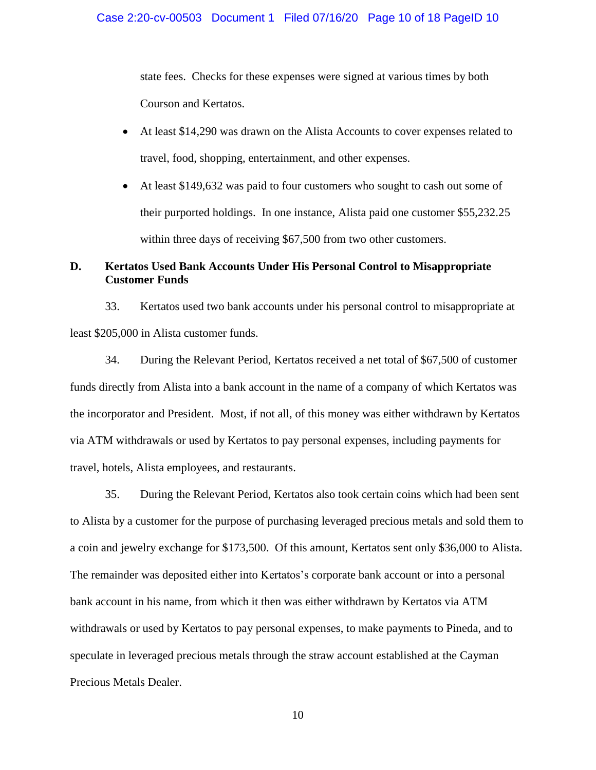state fees. Checks for these expenses were signed at various times by both Courson and Kertatos.

- At least \$14,290 was drawn on the Alista Accounts to cover expenses related to travel, food, shopping, entertainment, and other expenses.
- At least \$149,632 was paid to four customers who sought to cash out some of their purported holdings. In one instance, Alista paid one customer \$55,232.25 within three days of receiving \$67,500 from two other customers.

# **D. Kertatos Used Bank Accounts Under His Personal Control to Misappropriate Customer Funds**

33. Kertatos used two bank accounts under his personal control to misappropriate at least \$205,000 in Alista customer funds.

34. During the Relevant Period, Kertatos received a net total of \$67,500 of customer funds directly from Alista into a bank account in the name of a company of which Kertatos was the incorporator and President. Most, if not all, of this money was either withdrawn by Kertatos via ATM withdrawals or used by Kertatos to pay personal expenses, including payments for travel, hotels, Alista employees, and restaurants.

35. During the Relevant Period, Kertatos also took certain coins which had been sent to Alista by a customer for the purpose of purchasing leveraged precious metals and sold them to a coin and jewelry exchange for \$173,500. Of this amount, Kertatos sent only \$36,000 to Alista. The remainder was deposited either into Kertatos's corporate bank account or into a personal bank account in his name, from which it then was either withdrawn by Kertatos via ATM withdrawals or used by Kertatos to pay personal expenses, to make payments to Pineda, and to speculate in leveraged precious metals through the straw account established at the Cayman Precious Metals Dealer.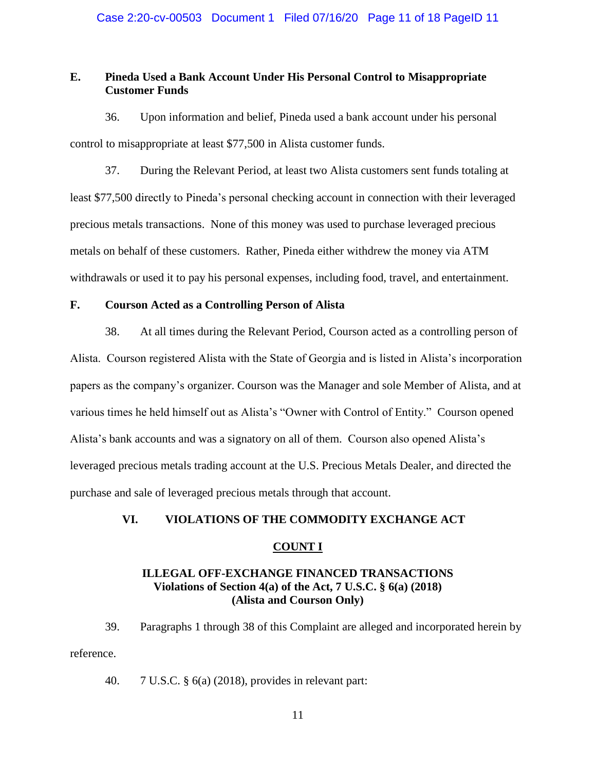# **E. Pineda Used a Bank Account Under His Personal Control to Misappropriate Customer Funds**

36. Upon information and belief, Pineda used a bank account under his personal control to misappropriate at least \$77,500 in Alista customer funds.

37. During the Relevant Period, at least two Alista customers sent funds totaling at least \$77,500 directly to Pineda's personal checking account in connection with their leveraged precious metals transactions. None of this money was used to purchase leveraged precious metals on behalf of these customers. Rather, Pineda either withdrew the money via ATM withdrawals or used it to pay his personal expenses, including food, travel, and entertainment.

### **F. Courson Acted as a Controlling Person of Alista**

38. At all times during the Relevant Period, Courson acted as a controlling person of Alista. Courson registered Alista with the State of Georgia and is listed in Alista's incorporation papers as the company's organizer. Courson was the Manager and sole Member of Alista, and at various times he held himself out as Alista's "Owner with Control of Entity." Courson opened Alista's bank accounts and was a signatory on all of them. Courson also opened Alista's leveraged precious metals trading account at the U.S. Precious Metals Dealer, and directed the purchase and sale of leveraged precious metals through that account.

### **VI. VIOLATIONS OF THE COMMODITY EXCHANGE ACT**

### **COUNT I**

## **ILLEGAL OFF-EXCHANGE FINANCED TRANSACTIONS Violations of Section 4(a) of the Act, 7 U.S.C. § 6(a) (2018) (Alista and Courson Only)**

39. Paragraphs 1 through 38 of this Complaint are alleged and incorporated herein by reference.

40. 7 U.S.C. § 6(a) (2018), provides in relevant part: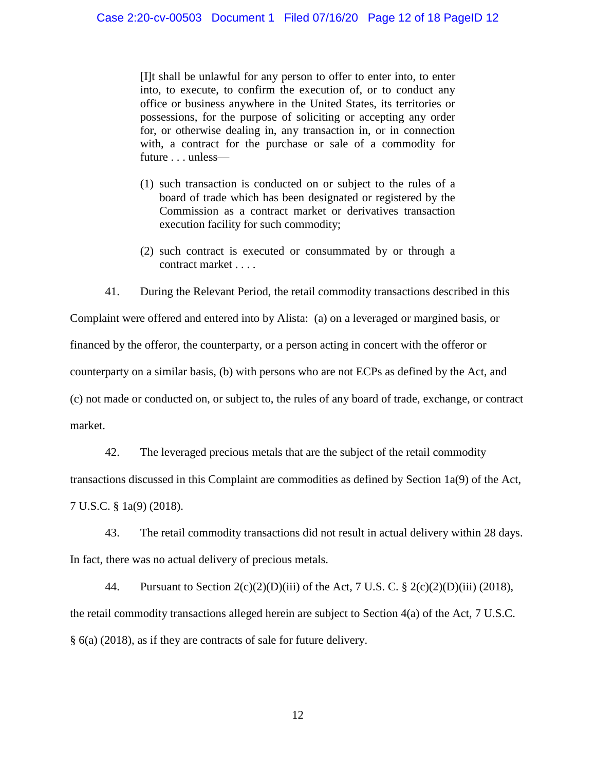[I]t shall be unlawful for any person to offer to enter into, to enter into, to execute, to confirm the execution of, or to conduct any office or business anywhere in the United States, its territories or possessions, for the purpose of soliciting or accepting any order for, or otherwise dealing in, any transaction in, or in connection with, a contract for the purchase or sale of a commodity for future . . . unless—

- (1) such transaction is conducted on or subject to the rules of a board of trade which has been designated or registered by the Commission as a contract market or derivatives transaction execution facility for such commodity;
- (2) such contract is executed or consummated by or through a contract market . . . .
- 41. During the Relevant Period, the retail commodity transactions described in this

Complaint were offered and entered into by Alista: (a) on a leveraged or margined basis, or financed by the offeror, the counterparty, or a person acting in concert with the offeror or counterparty on a similar basis, (b) with persons who are not ECPs as defined by the Act, and (c) not made or conducted on, or subject to, the rules of any board of trade, exchange, or contract market.

42. The leveraged precious metals that are the subject of the retail commodity transactions discussed in this Complaint are commodities as defined by Section 1a(9) of the Act, 7 U.S.C. § 1a(9) (2018).

43. The retail commodity transactions did not result in actual delivery within 28 days. In fact, there was no actual delivery of precious metals.

44. Pursuant to Section  $2(c)(2)(D)(iii)$  of the Act, 7 U.S. C. §  $2(c)(2)(D)(iii)$  (2018), the retail commodity transactions alleged herein are subject to Section 4(a) of the Act, 7 U.S.C. § 6(a) (2018), as if they are contracts of sale for future delivery.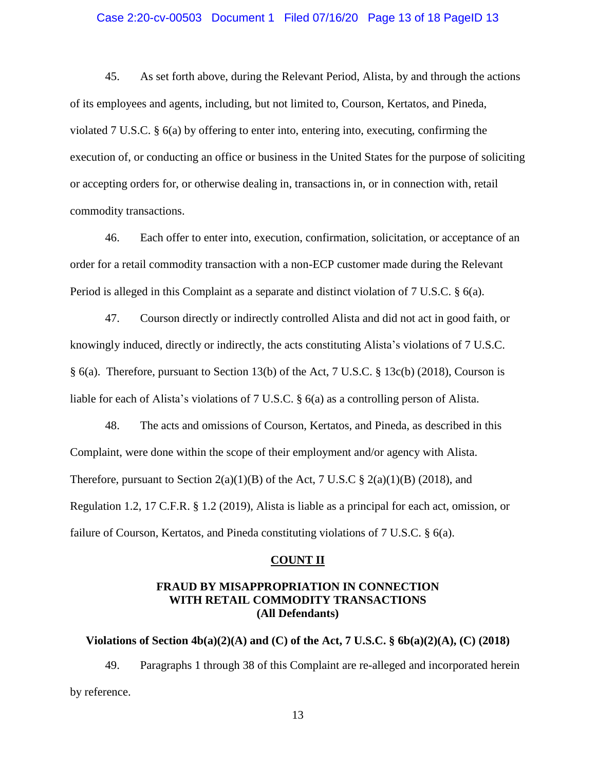### Case 2:20-cv-00503 Document 1 Filed 07/16/20 Page 13 of 18 PageID 13

45. As set forth above, during the Relevant Period, Alista, by and through the actions of its employees and agents, including, but not limited to, Courson, Kertatos, and Pineda, violated 7 U.S.C. § 6(a) by offering to enter into, entering into, executing, confirming the execution of, or conducting an office or business in the United States for the purpose of soliciting or accepting orders for, or otherwise dealing in, transactions in, or in connection with, retail commodity transactions.

46. Each offer to enter into, execution, confirmation, solicitation, or acceptance of an order for a retail commodity transaction with a non-ECP customer made during the Relevant Period is alleged in this Complaint as a separate and distinct violation of 7 U.S.C. § 6(a).

47. Courson directly or indirectly controlled Alista and did not act in good faith, or knowingly induced, directly or indirectly, the acts constituting Alista's violations of 7 U.S.C. § 6(a). Therefore, pursuant to Section 13(b) of the Act, 7 U.S.C. § 13c(b) (2018), Courson is liable for each of Alista's violations of 7 U.S.C. § 6(a) as a controlling person of Alista.

48. The acts and omissions of Courson, Kertatos, and Pineda, as described in this Complaint, were done within the scope of their employment and/or agency with Alista. Therefore, pursuant to Section  $2(a)(1)(B)$  of the Act, 7 U.S.C §  $2(a)(1)(B)$  (2018), and Regulation 1.2, 17 C.F.R. § 1.2 (2019), Alista is liable as a principal for each act, omission, or failure of Courson, Kertatos, and Pineda constituting violations of 7 U.S.C. § 6(a).

#### **COUNT II**

## **FRAUD BY MISAPPROPRIATION IN CONNECTION WITH RETAIL COMMODITY TRANSACTIONS (All Defendants)**

### **Violations of Section 4b(a)(2)(A) and (C) of the Act, 7 U.S.C. § 6b(a)(2)(A), (C) (2018)**

49. Paragraphs 1 through 38 of this Complaint are re-alleged and incorporated herein by reference.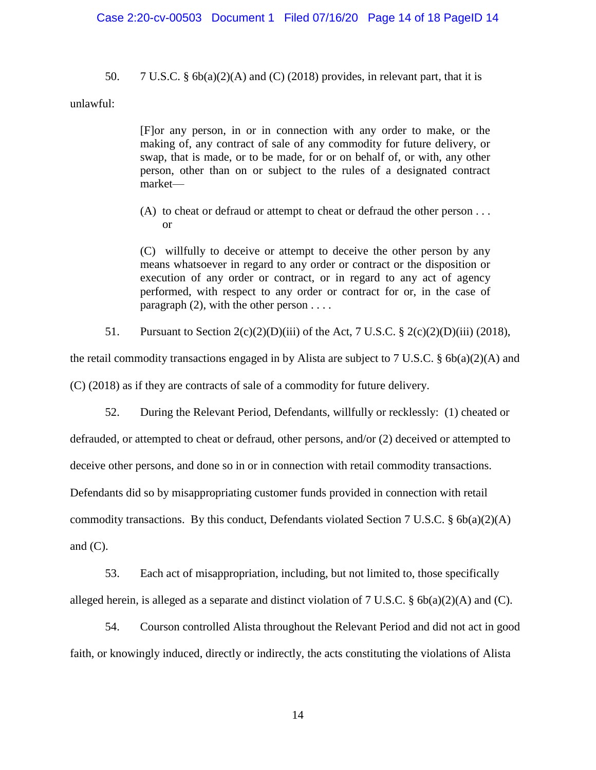### Case 2:20-cv-00503 Document 1 Filed 07/16/20 Page 14 of 18 PageID 14

50. 7 U.S.C. §  $6b(a)(2)(A)$  and (C) (2018) provides, in relevant part, that it is

unlawful:

[F]or any person, in or in connection with any order to make, or the making of, any contract of sale of any commodity for future delivery, or swap, that is made, or to be made, for or on behalf of, or with, any other person, other than on or subject to the rules of a designated contract market—

(A) to cheat or defraud or attempt to cheat or defraud the other person . . . or

(C) willfully to deceive or attempt to deceive the other person by any means whatsoever in regard to any order or contract or the disposition or execution of any order or contract, or in regard to any act of agency performed, with respect to any order or contract for or, in the case of paragraph  $(2)$ , with the other person . . . .

51. Pursuant to Section  $2(c)(2)(D)(iii)$  of the Act, 7 U.S.C. §  $2(c)(2)(D)(iii)$  (2018),

the retail commodity transactions engaged in by Alista are subject to 7 U.S.C. § 6b(a)(2)(A) and

(C) (2018) as if they are contracts of sale of a commodity for future delivery.

52. During the Relevant Period, Defendants, willfully or recklessly: (1) cheated or

defrauded, or attempted to cheat or defraud, other persons, and/or (2) deceived or attempted to

deceive other persons, and done so in or in connection with retail commodity transactions.

Defendants did so by misappropriating customer funds provided in connection with retail

commodity transactions. By this conduct, Defendants violated Section 7 U.S.C. § 6b(a)(2)(A)

and  $(C)$ .

53. Each act of misappropriation, including, but not limited to, those specifically alleged herein, is alleged as a separate and distinct violation of 7 U.S.C. § 6b(a)(2)(A) and (C).

54. Courson controlled Alista throughout the Relevant Period and did not act in good faith, or knowingly induced, directly or indirectly, the acts constituting the violations of Alista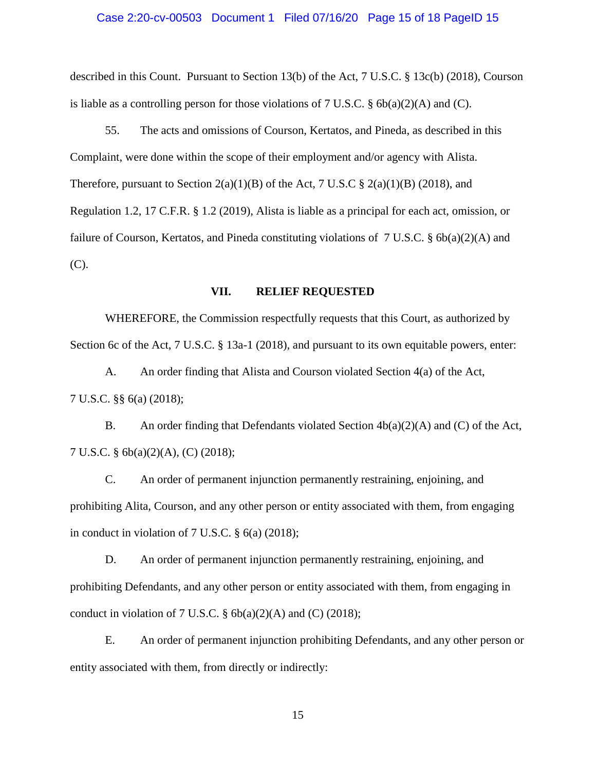#### Case 2:20-cv-00503 Document 1 Filed 07/16/20 Page 15 of 18 PageID 15

described in this Count. Pursuant to Section 13(b) of the Act, 7 U.S.C. § 13c(b) (2018), Courson is liable as a controlling person for those violations of 7 U.S.C. § 6b(a)(2)(A) and (C).

55. The acts and omissions of Courson, Kertatos, and Pineda, as described in this Complaint, were done within the scope of their employment and/or agency with Alista. Therefore, pursuant to Section  $2(a)(1)(B)$  of the Act, 7 U.S.C §  $2(a)(1)(B)$  (2018), and Regulation 1.2, 17 C.F.R. § 1.2 (2019), Alista is liable as a principal for each act, omission, or failure of Courson, Kertatos, and Pineda constituting violations of 7 U.S.C.  $\S$  6b(a)(2)(A) and (C).

## **VII. RELIEF REQUESTED**

WHEREFORE, the Commission respectfully requests that this Court, as authorized by Section 6c of the Act, 7 U.S.C. § 13a-1 (2018), and pursuant to its own equitable powers, enter:

A. An order finding that Alista and Courson violated Section 4(a) of the Act, 7 U.S.C. §§ 6(a) (2018);

B. An order finding that Defendants violated Section  $4b(a)(2)(A)$  and (C) of the Act, 7 U.S.C. § 6b(a)(2)(A), (C) (2018);

C. An order of permanent injunction permanently restraining, enjoining, and prohibiting Alita, Courson, and any other person or entity associated with them, from engaging in conduct in violation of 7 U.S.C. § 6(a) (2018);

D. An order of permanent injunction permanently restraining, enjoining, and prohibiting Defendants, and any other person or entity associated with them, from engaging in conduct in violation of 7 U.S.C.  $\S$  6b(a)(2)(A) and (C) (2018);

E. An order of permanent injunction prohibiting Defendants, and any other person or entity associated with them, from directly or indirectly: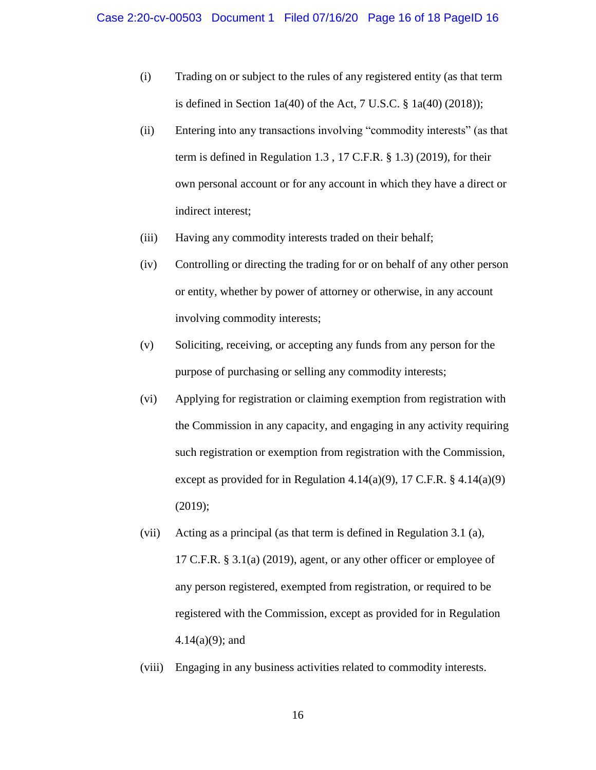- (i) Trading on or subject to the rules of any registered entity (as that term is defined in Section  $1a(40)$  of the Act, 7 U.S.C. §  $1a(40)$  (2018));
- (ii) Entering into any transactions involving "commodity interests" (as that term is defined in Regulation 1.3 , 17 C.F.R. § 1.3) (2019), for their own personal account or for any account in which they have a direct or indirect interest;
- (iii) Having any commodity interests traded on their behalf;
- (iv) Controlling or directing the trading for or on behalf of any other person or entity, whether by power of attorney or otherwise, in any account involving commodity interests;
- (v) Soliciting, receiving, or accepting any funds from any person for the purpose of purchasing or selling any commodity interests;
- (vi) Applying for registration or claiming exemption from registration with the Commission in any capacity, and engaging in any activity requiring such registration or exemption from registration with the Commission, except as provided for in Regulation 4.14(a)(9), 17 C.F.R.  $\S$  4.14(a)(9) (2019);
- (vii) Acting as a principal (as that term is defined in Regulation 3.1 (a), 17 C.F.R. § 3.1(a) (2019), agent, or any other officer or employee of any person registered, exempted from registration, or required to be registered with the Commission, except as provided for in Regulation 4.14(a)(9); and
- (viii) Engaging in any business activities related to commodity interests.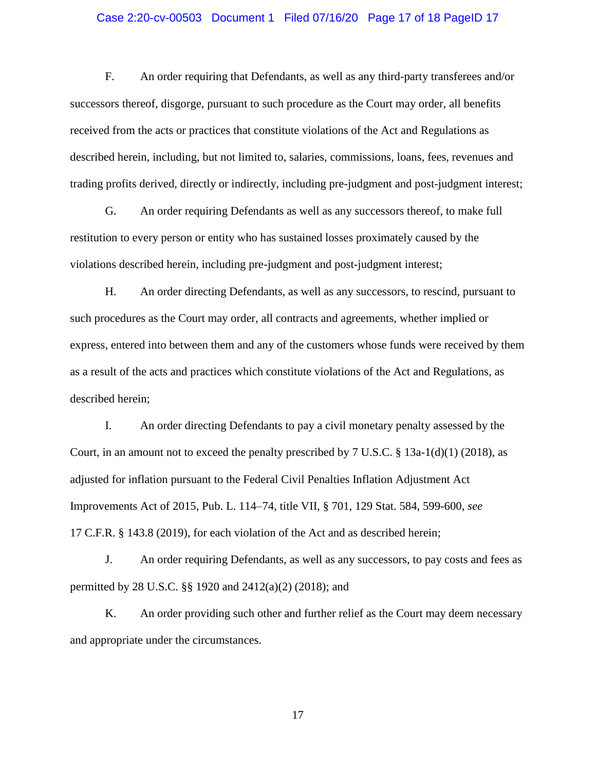### Case 2:20-cv-00503 Document 1 Filed 07/16/20 Page 17 of 18 PageID 17

F. An order requiring that Defendants, as well as any third-party transferees and/or successors thereof, disgorge, pursuant to such procedure as the Court may order, all benefits received from the acts or practices that constitute violations of the Act and Regulations as described herein, including, but not limited to, salaries, commissions, loans, fees, revenues and trading profits derived, directly or indirectly, including pre-judgment and post-judgment interest;

G. An order requiring Defendants as well as any successors thereof, to make full restitution to every person or entity who has sustained losses proximately caused by the violations described herein, including pre-judgment and post-judgment interest;

H. An order directing Defendants, as well as any successors, to rescind, pursuant to such procedures as the Court may order, all contracts and agreements, whether implied or express, entered into between them and any of the customers whose funds were received by them as a result of the acts and practices which constitute violations of the Act and Regulations, as described herein;

I. An order directing Defendants to pay a civil monetary penalty assessed by the Court, in an amount not to exceed the penalty prescribed by  $7 \text{ U.S.C.} \& 13a-1(d)(1)$  (2018), as adjusted for inflation pursuant to the Federal Civil Penalties Inflation Adjustment Act Improvements Act of 2015, Pub. L. 114–74, title VII, § 701, 129 Stat. 584, 599-600, *see* 17 C.F.R. § 143.8 (2019), for each violation of the Act and as described herein;

J. An order requiring Defendants, as well as any successors, to pay costs and fees as permitted by 28 U.S.C. §§ 1920 and 2412(a)(2) (2018); and

K. An order providing such other and further relief as the Court may deem necessary and appropriate under the circumstances.